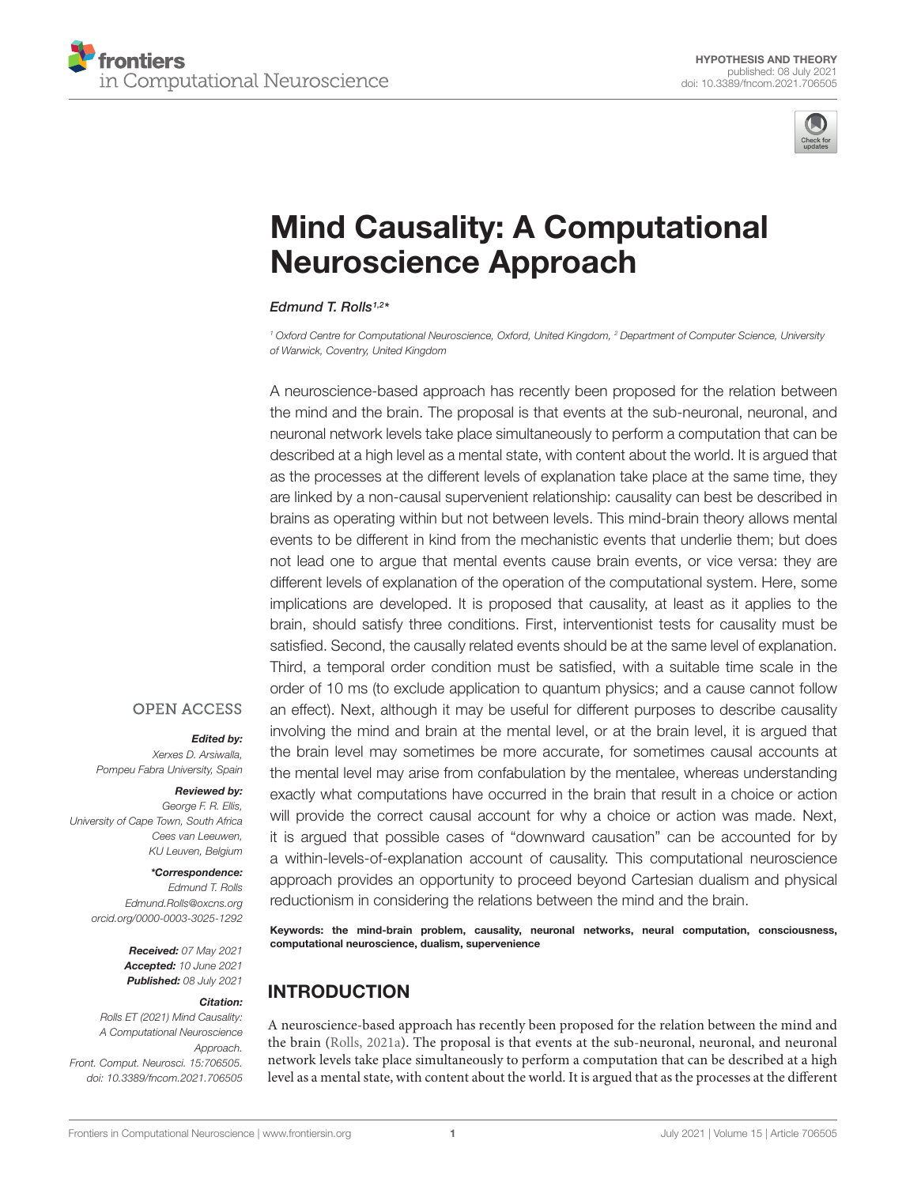



# [Mind Causality: A Computational](https://www.frontiersin.org/articles/10.3389/fncom.2021.706505/full) Neuroscience Approach

Edmund T. Rolls1,2 \*

<sup>1</sup> Oxford Centre for Computational Neuroscience, Oxford, United Kingdom, <sup>2</sup> Department of Computer Science, University of Warwick, Coventry, United Kingdom

A neuroscience-based approach has recently been proposed for the relation between the mind and the brain. The proposal is that events at the sub-neuronal, neuronal, and neuronal network levels take place simultaneously to perform a computation that can be described at a high level as a mental state, with content about the world. It is argued that as the processes at the different levels of explanation take place at the same time, they are linked by a non-causal supervenient relationship: causality can best be described in brains as operating within but not between levels. This mind-brain theory allows mental events to be different in kind from the mechanistic events that underlie them; but does not lead one to argue that mental events cause brain events, or vice versa: they are different levels of explanation of the operation of the computational system. Here, some implications are developed. It is proposed that causality, at least as it applies to the brain, should satisfy three conditions. First, interventionist tests for causality must be satisfied. Second, the causally related events should be at the same level of explanation. Third, a temporal order condition must be satisfied, with a suitable time scale in the order of 10 ms (to exclude application to quantum physics; and a cause cannot follow an effect). Next, although it may be useful for different purposes to describe causality involving the mind and brain at the mental level, or at the brain level, it is argued that the brain level may sometimes be more accurate, for sometimes causal accounts at the mental level may arise from confabulation by the mentalee, whereas understanding exactly what computations have occurred in the brain that result in a choice or action will provide the correct causal account for why a choice or action was made. Next, it is argued that possible cases of "downward causation" can be accounted for by a within-levels-of-explanation account of causality. This computational neuroscience approach provides an opportunity to proceed beyond Cartesian dualism and physical reductionism in considering the relations between the mind and the brain.

Keywords: the mind-brain problem, causality, neuronal networks, neural computation, consciousness, computational neuroscience, dualism, supervenience

# INTRODUCTION

A neuroscience-based approach has recently been proposed for the relation between the mind and the brain [\(Rolls,](#page-9-0) [2021a\)](#page-9-0). The proposal is that events at the sub-neuronal, neuronal, and neuronal network levels take place simultaneously to perform a computation that can be described at a high level as a mental state, with content about the world. It is argued that as the processes at the different

### **OPEN ACCESS**

# Edited by:

Xerxes D. Arsiwalla, Pompeu Fabra University, Spain

#### Reviewed by:

George F. R. Ellis, University of Cape Town, South Africa Cees van Leeuwen, KU Leuven, Belgium

#### \*Correspondence:

Edmund T. Rolls Edmund.Rolls@oxcns.org [orcid.org/0000-0003-3025-1292](https://orcid.org/0000-0003-3025-1292)

> Received: 07 May 2021 Accepted: 10 June 2021 Published: 08 July 2021

#### Citation:

Rolls ET (2021) Mind Causality: A Computational Neuroscience Approach. Front. Comput. Neurosci. 15:706505. doi: [10.3389/fncom.2021.706505](https://doi.org/10.3389/fncom.2021.706505)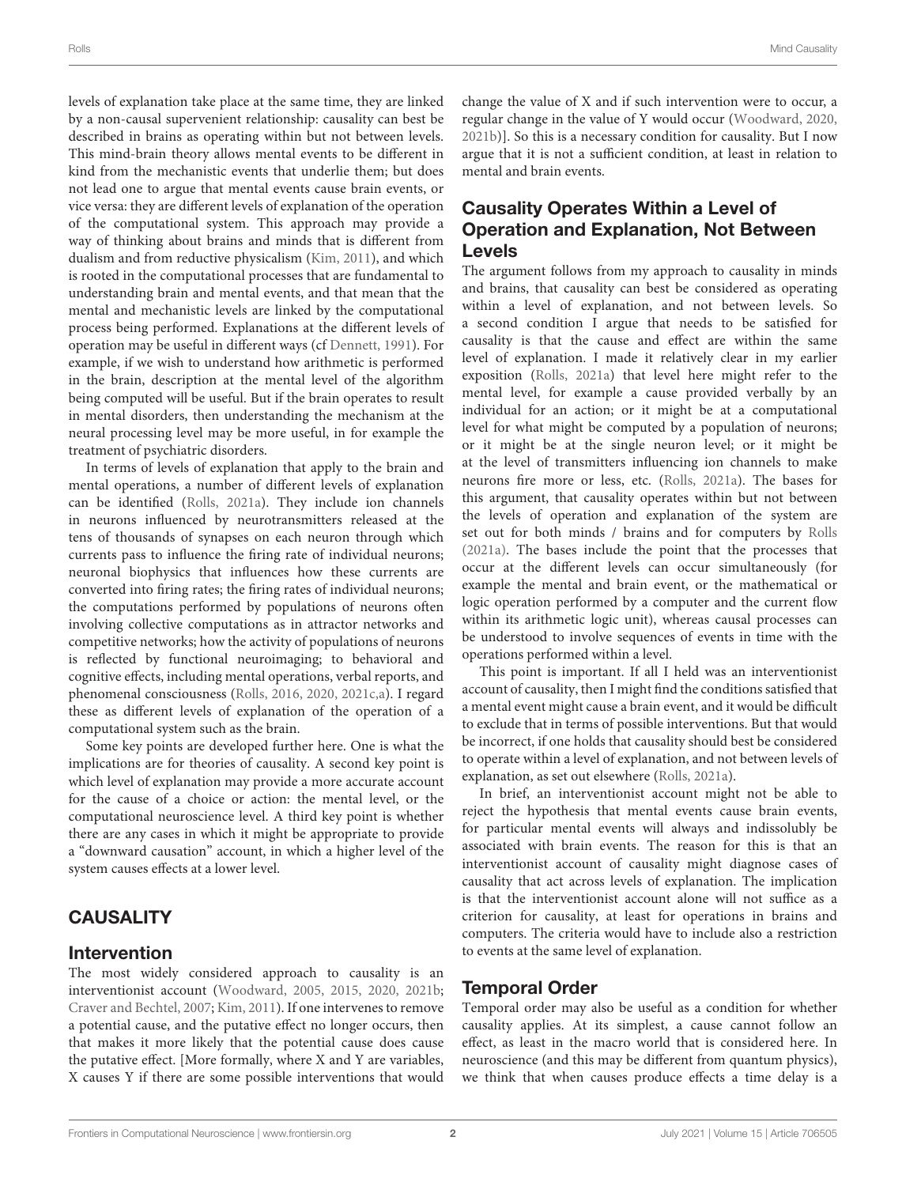levels of explanation take place at the same time, they are linked by a non-causal supervenient relationship: causality can best be described in brains as operating within but not between levels. This mind-brain theory allows mental events to be different in kind from the mechanistic events that underlie them; but does not lead one to argue that mental events cause brain events, or vice versa: they are different levels of explanation of the operation of the computational system. This approach may provide a way of thinking about brains and minds that is different from dualism and from reductive physicalism [\(Kim,](#page-9-1) [2011\)](#page-9-1), and which is rooted in the computational processes that are fundamental to understanding brain and mental events, and that mean that the mental and mechanistic levels are linked by the computational process being performed. Explanations at the different levels of operation may be useful in different ways (cf [Dennett,](#page-9-2) [1991\)](#page-9-2). For example, if we wish to understand how arithmetic is performed in the brain, description at the mental level of the algorithm being computed will be useful. But if the brain operates to result in mental disorders, then understanding the mechanism at the neural processing level may be more useful, in for example the treatment of psychiatric disorders.

In terms of levels of explanation that apply to the brain and mental operations, a number of different levels of explanation can be identified [\(Rolls,](#page-9-0) [2021a\)](#page-9-0). They include ion channels in neurons influenced by neurotransmitters released at the tens of thousands of synapses on each neuron through which currents pass to influence the firing rate of individual neurons; neuronal biophysics that influences how these currents are converted into firing rates; the firing rates of individual neurons; the computations performed by populations of neurons often involving collective computations as in attractor networks and competitive networks; how the activity of populations of neurons is reflected by functional neuroimaging; to behavioral and cognitive effects, including mental operations, verbal reports, and phenomenal consciousness [\(Rolls,](#page-9-3) [2016,](#page-9-3) [2020,](#page-9-4) [2021c,](#page-9-5)[a\)](#page-9-0). I regard these as different levels of explanation of the operation of a computational system such as the brain.

Some key points are developed further here. One is what the implications are for theories of causality. A second key point is which level of explanation may provide a more accurate account for the cause of a choice or action: the mental level, or the computational neuroscience level. A third key point is whether there are any cases in which it might be appropriate to provide a "downward causation" account, in which a higher level of the system causes effects at a lower level.

### **CAUSALITY**

#### Intervention

The most widely considered approach to causality is an interventionist account [\(Woodward,](#page-9-6) [2005,](#page-9-6) [2015,](#page-9-7) [2020,](#page-9-8) [2021b;](#page-10-0) [Craver and Bechtel,](#page-9-9) [2007;](#page-9-9) [Kim,](#page-9-1) [2011\)](#page-9-1). If one intervenes to remove a potential cause, and the putative effect no longer occurs, then that makes it more likely that the potential cause does cause the putative effect. [More formally, where X and Y are variables, X causes Y if there are some possible interventions that would

change the value of X and if such intervention were to occur, a regular change in the value of Y would occur [\(Woodward,](#page-9-8) [2020,](#page-9-8) [2021b\)](#page-10-0)]. So this is a necessary condition for causality. But I now argue that it is not a sufficient condition, at least in relation to mental and brain events.

# Causality Operates Within a Level of Operation and Explanation, Not Between Levels

The argument follows from my approach to causality in minds and brains, that causality can best be considered as operating within a level of explanation, and not between levels. So a second condition I argue that needs to be satisfied for causality is that the cause and effect are within the same level of explanation. I made it relatively clear in my earlier exposition [\(Rolls,](#page-9-0) [2021a\)](#page-9-0) that level here might refer to the mental level, for example a cause provided verbally by an individual for an action; or it might be at a computational level for what might be computed by a population of neurons; or it might be at the single neuron level; or it might be at the level of transmitters influencing ion channels to make neurons fire more or less, etc. [\(Rolls,](#page-9-0) [2021a\)](#page-9-0). The bases for this argument, that causality operates within but not between the levels of operation and explanation of the system are set out for both minds / brains and for computers by [Rolls](#page-9-0) [\(2021a\)](#page-9-0). The bases include the point that the processes that occur at the different levels can occur simultaneously (for example the mental and brain event, or the mathematical or logic operation performed by a computer and the current flow within its arithmetic logic unit), whereas causal processes can be understood to involve sequences of events in time with the operations performed within a level.

This point is important. If all I held was an interventionist account of causality, then I might find the conditions satisfied that a mental event might cause a brain event, and it would be difficult to exclude that in terms of possible interventions. But that would be incorrect, if one holds that causality should best be considered to operate within a level of explanation, and not between levels of explanation, as set out elsewhere [\(Rolls,](#page-9-0) [2021a\)](#page-9-0).

In brief, an interventionist account might not be able to reject the hypothesis that mental events cause brain events, for particular mental events will always and indissolubly be associated with brain events. The reason for this is that an interventionist account of causality might diagnose cases of causality that act across levels of explanation. The implication is that the interventionist account alone will not suffice as a criterion for causality, at least for operations in brains and computers. The criteria would have to include also a restriction to events at the same level of explanation.

### Temporal Order

Temporal order may also be useful as a condition for whether causality applies. At its simplest, a cause cannot follow an effect, as least in the macro world that is considered here. In neuroscience (and this may be different from quantum physics), we think that when causes produce effects a time delay is a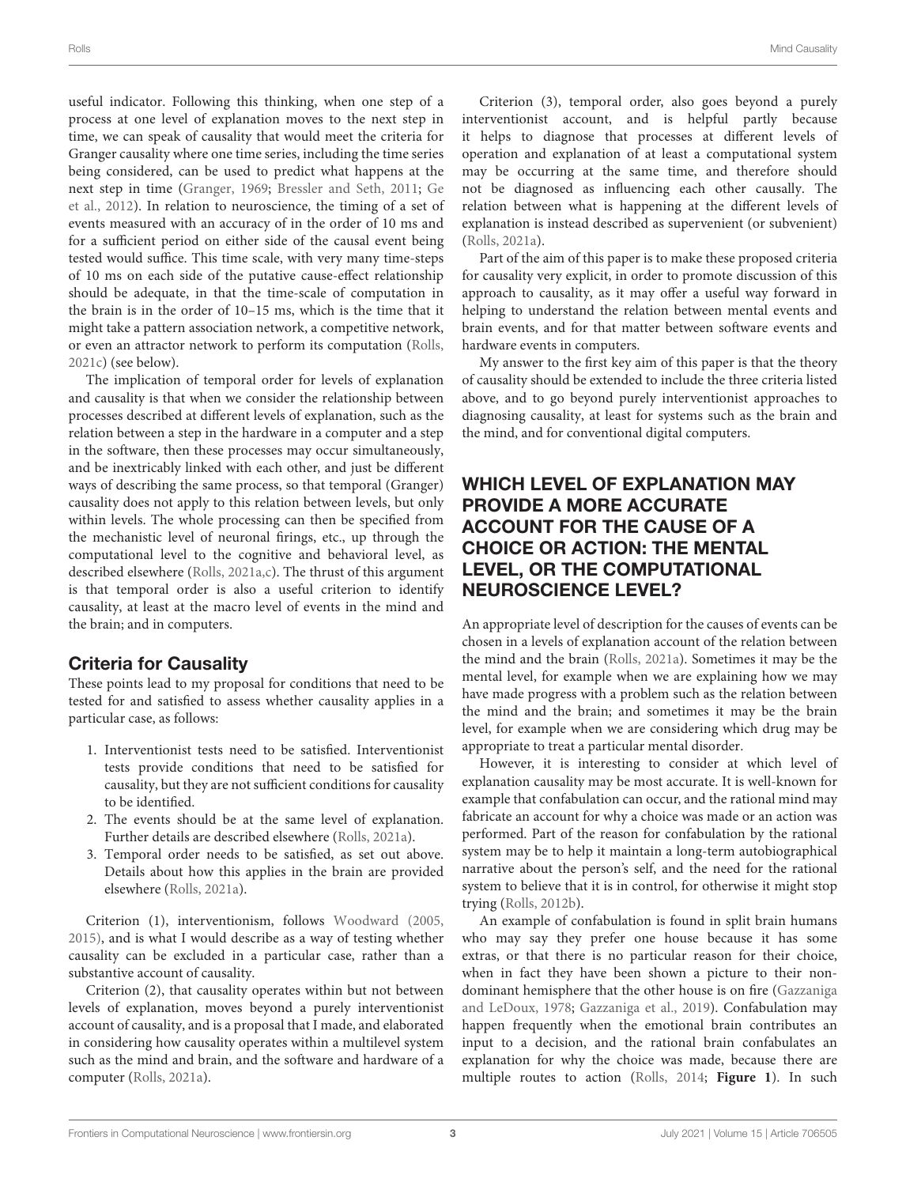useful indicator. Following this thinking, when one step of a process at one level of explanation moves to the next step in time, we can speak of causality that would meet the criteria for Granger causality where one time series, including the time series being considered, can be used to predict what happens at the next step in time [\(Granger,](#page-9-10) [1969;](#page-9-10) [Bressler and Seth,](#page-8-0) [2011;](#page-8-0) [Ge](#page-9-11) [et al.,](#page-9-11) [2012\)](#page-9-11). In relation to neuroscience, the timing of a set of events measured with an accuracy of in the order of 10 ms and for a sufficient period on either side of the causal event being tested would suffice. This time scale, with very many time-steps of 10 ms on each side of the putative cause-effect relationship should be adequate, in that the time-scale of computation in the brain is in the order of 10–15 ms, which is the time that it might take a pattern association network, a competitive network, or even an attractor network to perform its computation [\(Rolls,](#page-9-5) [2021c\)](#page-9-5) (see below).

The implication of temporal order for levels of explanation and causality is that when we consider the relationship between processes described at different levels of explanation, such as the relation between a step in the hardware in a computer and a step in the software, then these processes may occur simultaneously, and be inextricably linked with each other, and just be different ways of describing the same process, so that temporal (Granger) causality does not apply to this relation between levels, but only within levels. The whole processing can then be specified from the mechanistic level of neuronal firings, etc., up through the computational level to the cognitive and behavioral level, as described elsewhere [\(Rolls,](#page-9-0) [2021a](#page-9-0)[,c\)](#page-9-5). The thrust of this argument is that temporal order is also a useful criterion to identify causality, at least at the macro level of events in the mind and the brain; and in computers.

# Criteria for Causality

These points lead to my proposal for conditions that need to be tested for and satisfied to assess whether causality applies in a particular case, as follows:

- 1. Interventionist tests need to be satisfied. Interventionist tests provide conditions that need to be satisfied for causality, but they are not sufficient conditions for causality to be identified.
- 2. The events should be at the same level of explanation. Further details are described elsewhere [\(Rolls,](#page-9-0) [2021a\)](#page-9-0).
- 3. Temporal order needs to be satisfied, as set out above. Details about how this applies in the brain are provided elsewhere [\(Rolls,](#page-9-0) [2021a\)](#page-9-0).

Criterion (1), interventionism, follows [Woodward](#page-9-6) [\(2005,](#page-9-6) [2015\)](#page-9-7), and is what I would describe as a way of testing whether causality can be excluded in a particular case, rather than a substantive account of causality.

Criterion (2), that causality operates within but not between levels of explanation, moves beyond a purely interventionist account of causality, and is a proposal that I made, and elaborated in considering how causality operates within a multilevel system such as the mind and brain, and the software and hardware of a computer [\(Rolls,](#page-9-0) [2021a\)](#page-9-0).

Criterion (3), temporal order, also goes beyond a purely interventionist account, and is helpful partly because it helps to diagnose that processes at different levels of operation and explanation of at least a computational system may be occurring at the same time, and therefore should not be diagnosed as influencing each other causally. The relation between what is happening at the different levels of explanation is instead described as supervenient (or subvenient) [\(Rolls,](#page-9-0) [2021a\)](#page-9-0).

Part of the aim of this paper is to make these proposed criteria for causality very explicit, in order to promote discussion of this approach to causality, as it may offer a useful way forward in helping to understand the relation between mental events and brain events, and for that matter between software events and hardware events in computers.

My answer to the first key aim of this paper is that the theory of causality should be extended to include the three criteria listed above, and to go beyond purely interventionist approaches to diagnosing causality, at least for systems such as the brain and the mind, and for conventional digital computers.

# WHICH LEVEL OF EXPLANATION MAY PROVIDE A MORE ACCURATE ACCOUNT FOR THE CAUSE OF A CHOICE OR ACTION: THE MENTAL LEVEL, OR THE COMPUTATIONAL NEUROSCIENCE LEVEL?

An appropriate level of description for the causes of events can be chosen in a levels of explanation account of the relation between the mind and the brain [\(Rolls,](#page-9-0) [2021a\)](#page-9-0). Sometimes it may be the mental level, for example when we are explaining how we may have made progress with a problem such as the relation between the mind and the brain; and sometimes it may be the brain level, for example when we are considering which drug may be appropriate to treat a particular mental disorder.

However, it is interesting to consider at which level of explanation causality may be most accurate. It is well-known for example that confabulation can occur, and the rational mind may fabricate an account for why a choice was made or an action was performed. Part of the reason for confabulation by the rational system may be to help it maintain a long-term autobiographical narrative about the person's self, and the need for the rational system to believe that it is in control, for otherwise it might stop trying [\(Rolls,](#page-9-12) [2012b\)](#page-9-12).

An example of confabulation is found in split brain humans who may say they prefer one house because it has some extras, or that there is no particular reason for their choice, when in fact they have been shown a picture to their nondominant hemisphere that the other house is on fire [\(Gazzaniga](#page-9-13) [and LeDoux,](#page-9-13) [1978;](#page-9-13) [Gazzaniga et al.,](#page-9-14) [2019\)](#page-9-14). Confabulation may happen frequently when the emotional brain contributes an input to a decision, and the rational brain confabulates an explanation for why the choice was made, because there are multiple routes to action [\(Rolls,](#page-9-15) [2014;](#page-9-15) **[Figure 1](#page-4-0)**). In such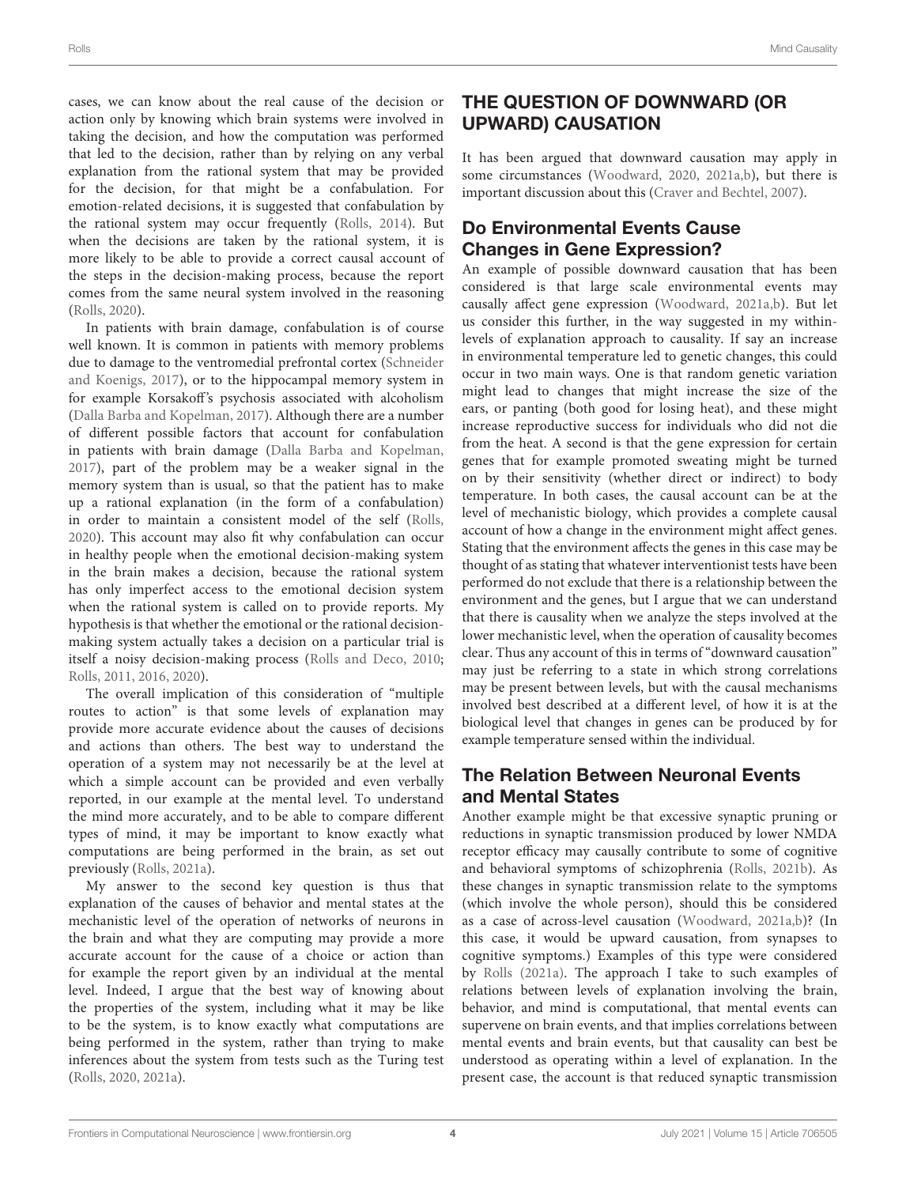cases, we can know about the real cause of the decision or action only by knowing which brain systems were involved in taking the decision, and how the computation was performed that led to the decision, rather than by relying on any verbal explanation from the rational system that may be provided for the decision, for that might be a confabulation. For emotion-related decisions, it is suggested that confabulation by the rational system may occur frequently [\(Rolls,](#page-9-15) [2014\)](#page-9-15). But when the decisions are taken by the rational system, it is more likely to be able to provide a correct causal account of the steps in the decision-making process, because the report comes from the same neural system involved in the reasoning [\(Rolls,](#page-9-4) [2020\)](#page-9-4).

In patients with brain damage, confabulation is of course well known. It is common in patients with memory problems due to damage to the ventromedial prefrontal cortex [\(Schneider](#page-9-16) [and Koenigs,](#page-9-16) [2017\)](#page-9-16), or to the hippocampal memory system in for example Korsakoff's psychosis associated with alcoholism [\(Dalla Barba and Kopelman,](#page-9-17) [2017\)](#page-9-17). Although there are a number of different possible factors that account for confabulation in patients with brain damage [\(Dalla Barba and Kopelman,](#page-9-17) [2017\)](#page-9-17), part of the problem may be a weaker signal in the memory system than is usual, so that the patient has to make up a rational explanation (in the form of a confabulation) in order to maintain a consistent model of the self [\(Rolls,](#page-9-4) [2020\)](#page-9-4). This account may also fit why confabulation can occur in healthy people when the emotional decision-making system in the brain makes a decision, because the rational system has only imperfect access to the emotional decision system when the rational system is called on to provide reports. My hypothesis is that whether the emotional or the rational decisionmaking system actually takes a decision on a particular trial is itself a noisy decision-making process [\(Rolls and Deco,](#page-9-18) [2010;](#page-9-18) [Rolls,](#page-9-19) [2011,](#page-9-19) [2016,](#page-9-3) [2020\)](#page-9-4).

The overall implication of this consideration of "multiple routes to action" is that some levels of explanation may provide more accurate evidence about the causes of decisions and actions than others. The best way to understand the operation of a system may not necessarily be at the level at which a simple account can be provided and even verbally reported, in our example at the mental level. To understand the mind more accurately, and to be able to compare different types of mind, it may be important to know exactly what computations are being performed in the brain, as set out previously [\(Rolls,](#page-9-0) [2021a\)](#page-9-0).

My answer to the second key question is thus that explanation of the causes of behavior and mental states at the mechanistic level of the operation of networks of neurons in the brain and what they are computing may provide a more accurate account for the cause of a choice or action than for example the report given by an individual at the mental level. Indeed, I argue that the best way of knowing about the properties of the system, including what it may be like to be the system, is to know exactly what computations are being performed in the system, rather than trying to make inferences about the system from tests such as the Turing test [\(Rolls,](#page-9-4) [2020,](#page-9-4) [2021a\)](#page-9-0).

# THE QUESTION OF DOWNWARD (OR UPWARD) CAUSATION

It has been argued that downward causation may apply in some circumstances [\(Woodward,](#page-9-8) [2020,](#page-9-8) [2021a,](#page-10-1)[b\)](#page-10-0), but there is important discussion about this [\(Craver and Bechtel,](#page-9-9) [2007\)](#page-9-9).

# Do Environmental Events Cause Changes in Gene Expression?

An example of possible downward causation that has been considered is that large scale environmental events may causally affect gene expression [\(Woodward,](#page-10-1) [2021a](#page-10-1)[,b\)](#page-10-0). But let us consider this further, in the way suggested in my withinlevels of explanation approach to causality. If say an increase in environmental temperature led to genetic changes, this could occur in two main ways. One is that random genetic variation might lead to changes that might increase the size of the ears, or panting (both good for losing heat), and these might increase reproductive success for individuals who did not die from the heat. A second is that the gene expression for certain genes that for example promoted sweating might be turned on by their sensitivity (whether direct or indirect) to body temperature. In both cases, the causal account can be at the level of mechanistic biology, which provides a complete causal account of how a change in the environment might affect genes. Stating that the environment affects the genes in this case may be thought of as stating that whatever interventionist tests have been performed do not exclude that there is a relationship between the environment and the genes, but I argue that we can understand that there is causality when we analyze the steps involved at the lower mechanistic level, when the operation of causality becomes clear. Thus any account of this in terms of "downward causation" may just be referring to a state in which strong correlations may be present between levels, but with the causal mechanisms involved best described at a different level, of how it is at the biological level that changes in genes can be produced by for example temperature sensed within the individual.

# The Relation Between Neuronal Events and Mental States

Another example might be that excessive synaptic pruning or reductions in synaptic transmission produced by lower NMDA receptor efficacy may causally contribute to some of cognitive and behavioral symptoms of schizophrenia [\(Rolls,](#page-9-20) [2021b\)](#page-9-20). As these changes in synaptic transmission relate to the symptoms (which involve the whole person), should this be considered as a case of across-level causation [\(Woodward,](#page-10-1) [2021a,](#page-10-1)[b\)](#page-10-0)? (In this case, it would be upward causation, from synapses to cognitive symptoms.) Examples of this type were considered by [Rolls](#page-9-0) [\(2021a\)](#page-9-0). The approach I take to such examples of relations between levels of explanation involving the brain, behavior, and mind is computational, that mental events can supervene on brain events, and that implies correlations between mental events and brain events, but that causality can best be understood as operating within a level of explanation. In the present case, the account is that reduced synaptic transmission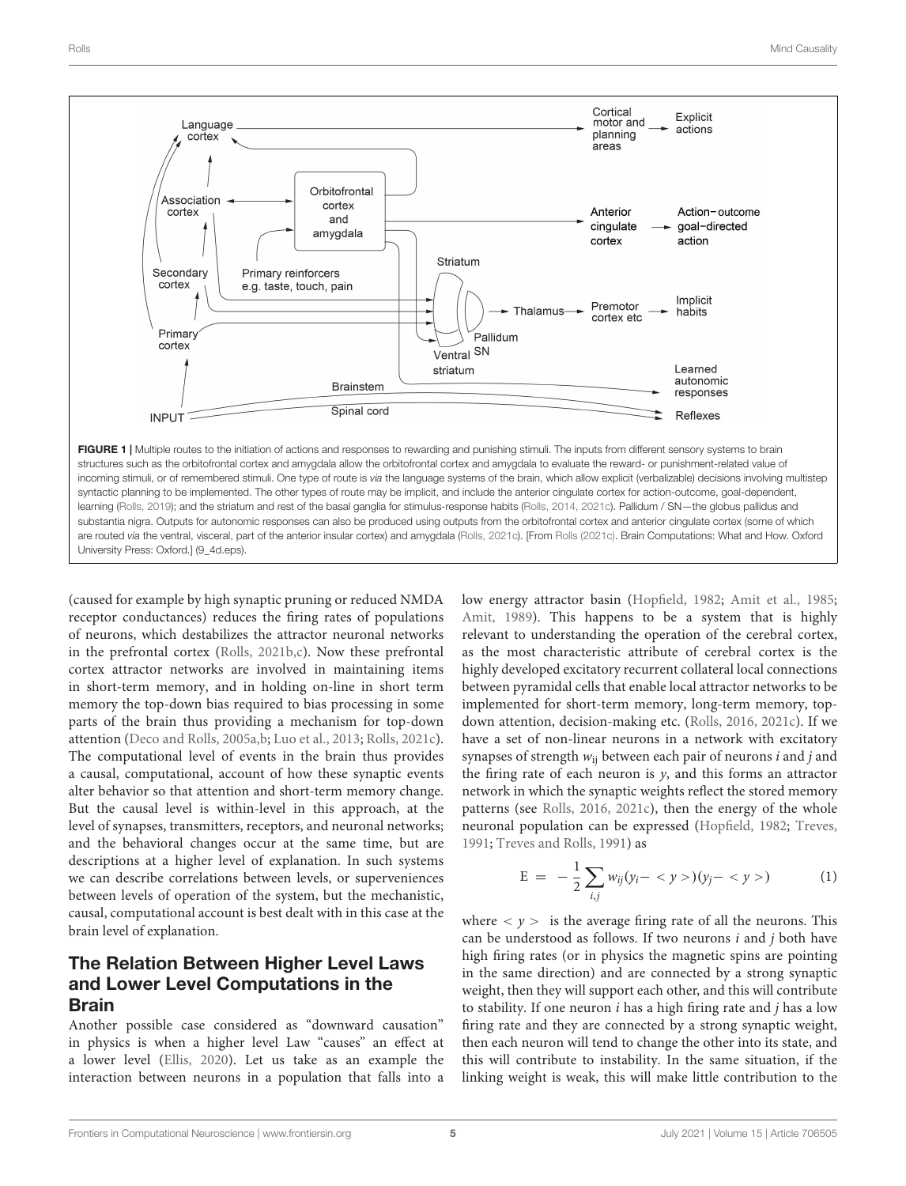

<span id="page-4-0"></span>(caused for example by high synaptic pruning or reduced NMDA receptor conductances) reduces the firing rates of populations of neurons, which destabilizes the attractor neuronal networks in the prefrontal cortex [\(Rolls,](#page-9-20) [2021b,](#page-9-20)[c\)](#page-9-5). Now these prefrontal cortex attractor networks are involved in maintaining items in short-term memory, and in holding on-line in short term memory the top-down bias required to bias processing in some parts of the brain thus providing a mechanism for top-down attention [\(Deco and Rolls,](#page-9-22) [2005a,](#page-9-22)[b;](#page-9-23) [Luo et al.,](#page-9-24) [2013;](#page-9-24) [Rolls,](#page-9-5) [2021c\)](#page-9-5). The computational level of events in the brain thus provides a causal, computational, account of how these synaptic events alter behavior so that attention and short-term memory change. But the causal level is within-level in this approach, at the level of synapses, transmitters, receptors, and neuronal networks; and the behavioral changes occur at the same time, but are descriptions at a higher level of explanation. In such systems we can describe correlations between levels, or superveniences between levels of operation of the system, but the mechanistic, causal, computational account is best dealt with in this case at the brain level of explanation.

### The Relation Between Higher Level Laws and Lower Level Computations in the Brain

Another possible case considered as "downward causation" in physics is when a higher level Law "causes" an effect at a lower level [\(Ellis,](#page-9-25) [2020\)](#page-9-25). Let us take as an example the interaction between neurons in a population that falls into a

low energy attractor basin [\(Hopfield,](#page-9-26) [1982;](#page-9-26) [Amit et al.,](#page-8-1) [1985;](#page-8-1) [Amit,](#page-8-2) [1989\)](#page-8-2). This happens to be a system that is highly relevant to understanding the operation of the cerebral cortex, as the most characteristic attribute of cerebral cortex is the highly developed excitatory recurrent collateral local connections between pyramidal cells that enable local attractor networks to be implemented for short-term memory, long-term memory, topdown attention, decision-making etc. [\(Rolls,](#page-9-3) [2016,](#page-9-3) [2021c\)](#page-9-5). If we have a set of non-linear neurons in a network with excitatory synapses of strength  $w_{ii}$  between each pair of neurons *i* and *j* and the firing rate of each neuron is  $y$ , and this forms an attractor network in which the synaptic weights reflect the stored memory patterns (see [Rolls,](#page-9-3) [2016,](#page-9-3) [2021c\)](#page-9-5), then the energy of the whole neuronal population can be expressed [\(Hopfield,](#page-9-26) [1982;](#page-9-26) [Treves,](#page-9-27) [1991;](#page-9-27) [Treves and Rolls,](#page-9-28) [1991\)](#page-9-28) as

$$
E = -\frac{1}{2} \sum_{i,j} w_{ij} (y_i - \langle y \rangle)(y_j - \langle y \rangle) \tag{1}
$$

where  $\langle \nu \rangle$  is the average firing rate of all the neurons. This can be understood as follows. If two neurons  $i$  and  $j$  both have high firing rates (or in physics the magnetic spins are pointing in the same direction) and are connected by a strong synaptic weight, then they will support each other, and this will contribute to stability. If one neuron  $i$  has a high firing rate and  $j$  has a low firing rate and they are connected by a strong synaptic weight, then each neuron will tend to change the other into its state, and this will contribute to instability. In the same situation, if the linking weight is weak, this will make little contribution to the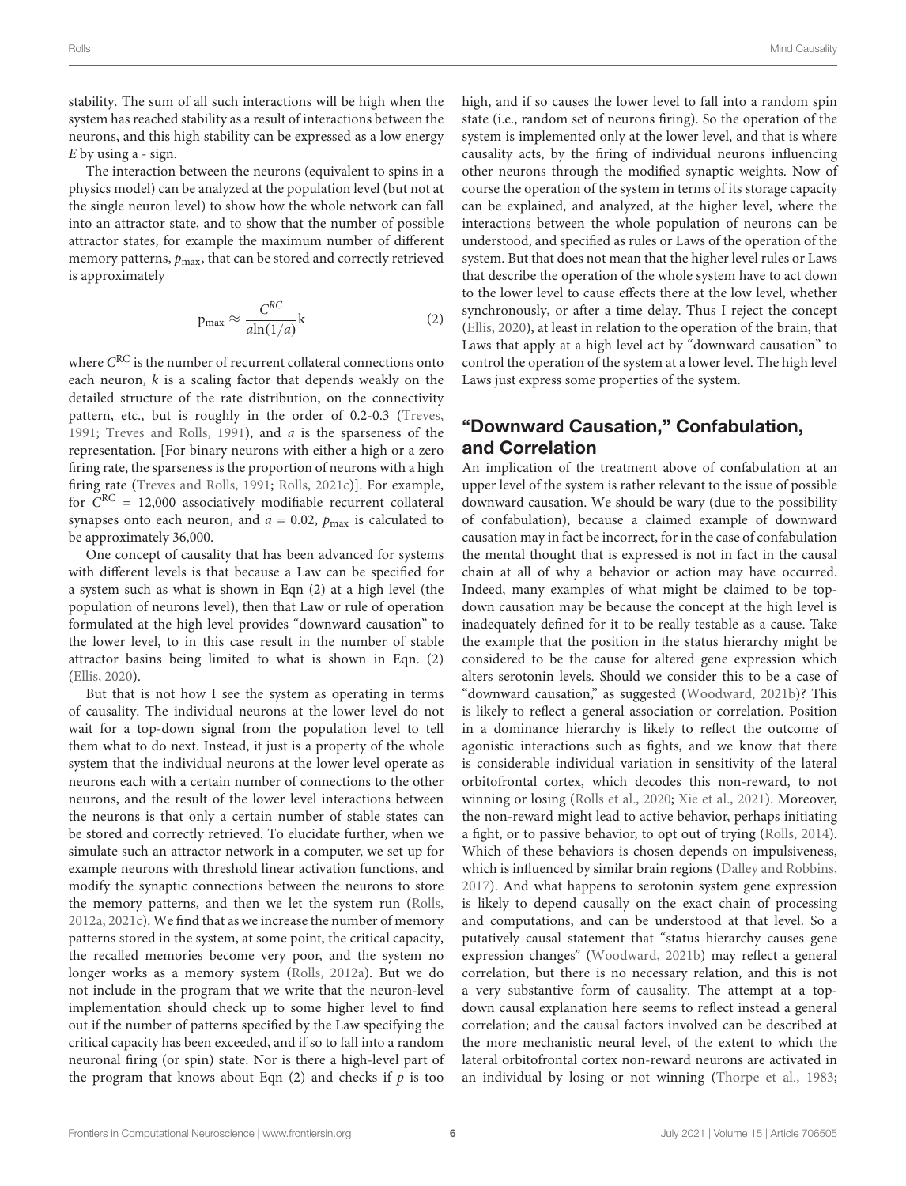stability. The sum of all such interactions will be high when the system has reached stability as a result of interactions between the neurons, and this high stability can be expressed as a low energy  $E$  by using a - sign.

The interaction between the neurons (equivalent to spins in a physics model) can be analyzed at the population level (but not at the single neuron level) to show how the whole network can fall into an attractor state, and to show that the number of possible attractor states, for example the maximum number of different memory patterns,  $p_{\text{max}}$ , that can be stored and correctly retrieved is approximately

$$
p_{\text{max}} \approx \frac{C^{RC}}{a \ln(1/a)} k \tag{2}
$$

where  $C^{\rm RC}$  is the number of recurrent collateral connections onto each neuron,  $k$  is a scaling factor that depends weakly on the detailed structure of the rate distribution, on the connectivity pattern, etc., but is roughly in the order of 0.2-0.3 [\(Treves,](#page-9-27) [1991;](#page-9-27) [Treves and Rolls,](#page-9-28) [1991\)](#page-9-28), and a is the sparseness of the representation. [For binary neurons with either a high or a zero firing rate, the sparseness is the proportion of neurons with a high firing rate [\(Treves and Rolls,](#page-9-28) [1991;](#page-9-28) [Rolls,](#page-9-5) [2021c\)](#page-9-5)]. For example, for  $C^{RC} = 12,000$  associatively modifiable recurrent collateral synapses onto each neuron, and  $a = 0.02$ ,  $p_{\text{max}}$  is calculated to be approximately 36,000.

One concept of causality that has been advanced for systems with different levels is that because a Law can be specified for a system such as what is shown in Eqn (2) at a high level (the population of neurons level), then that Law or rule of operation formulated at the high level provides "downward causation" to the lower level, to in this case result in the number of stable attractor basins being limited to what is shown in Eqn. (2) [\(Ellis,](#page-9-25) [2020\)](#page-9-25).

But that is not how I see the system as operating in terms of causality. The individual neurons at the lower level do not wait for a top-down signal from the population level to tell them what to do next. Instead, it just is a property of the whole system that the individual neurons at the lower level operate as neurons each with a certain number of connections to the other neurons, and the result of the lower level interactions between the neurons is that only a certain number of stable states can be stored and correctly retrieved. To elucidate further, when we simulate such an attractor network in a computer, we set up for example neurons with threshold linear activation functions, and modify the synaptic connections between the neurons to store the memory patterns, and then we let the system run [\(Rolls,](#page-9-29) [2012a,](#page-9-29) [2021c\)](#page-9-5). We find that as we increase the number of memory patterns stored in the system, at some point, the critical capacity, the recalled memories become very poor, and the system no longer works as a memory system [\(Rolls,](#page-9-29) [2012a\)](#page-9-29). But we do not include in the program that we write that the neuron-level implementation should check up to some higher level to find out if the number of patterns specified by the Law specifying the critical capacity has been exceeded, and if so to fall into a random neuronal firing (or spin) state. Nor is there a high-level part of the program that knows about Eqn  $(2)$  and checks if  $p$  is too

high, and if so causes the lower level to fall into a random spin state (i.e., random set of neurons firing). So the operation of the system is implemented only at the lower level, and that is where causality acts, by the firing of individual neurons influencing other neurons through the modified synaptic weights. Now of course the operation of the system in terms of its storage capacity can be explained, and analyzed, at the higher level, where the interactions between the whole population of neurons can be understood, and specified as rules or Laws of the operation of the system. But that does not mean that the higher level rules or Laws that describe the operation of the whole system have to act down to the lower level to cause effects there at the low level, whether synchronously, or after a time delay. Thus I reject the concept [\(Ellis,](#page-9-25) [2020\)](#page-9-25), at least in relation to the operation of the brain, that Laws that apply at a high level act by "downward causation" to control the operation of the system at a lower level. The high level Laws just express some properties of the system.

### "Downward Causation," Confabulation, and Correlation

An implication of the treatment above of confabulation at an upper level of the system is rather relevant to the issue of possible downward causation. We should be wary (due to the possibility of confabulation), because a claimed example of downward causation may in fact be incorrect, for in the case of confabulation the mental thought that is expressed is not in fact in the causal chain at all of why a behavior or action may have occurred. Indeed, many examples of what might be claimed to be topdown causation may be because the concept at the high level is inadequately defined for it to be really testable as a cause. Take the example that the position in the status hierarchy might be considered to be the cause for altered gene expression which alters serotonin levels. Should we consider this to be a case of "downward causation," as suggested [\(Woodward,](#page-10-0) [2021b\)](#page-10-0)? This is likely to reflect a general association or correlation. Position in a dominance hierarchy is likely to reflect the outcome of agonistic interactions such as fights, and we know that there is considerable individual variation in sensitivity of the lateral orbitofrontal cortex, which decodes this non-reward, to not winning or losing [\(Rolls et al.,](#page-9-30) [2020;](#page-9-30) [Xie et al.,](#page-10-2) [2021\)](#page-10-2). Moreover, the non-reward might lead to active behavior, perhaps initiating a fight, or to passive behavior, to opt out of trying [\(Rolls,](#page-9-15) [2014\)](#page-9-15). Which of these behaviors is chosen depends on impulsiveness, which is influenced by similar brain regions [\(Dalley and Robbins,](#page-9-31) [2017\)](#page-9-31). And what happens to serotonin system gene expression is likely to depend causally on the exact chain of processing and computations, and can be understood at that level. So a putatively causal statement that "status hierarchy causes gene expression changes" [\(Woodward,](#page-10-0) [2021b\)](#page-10-0) may reflect a general correlation, but there is no necessary relation, and this is not a very substantive form of causality. The attempt at a topdown causal explanation here seems to reflect instead a general correlation; and the causal factors involved can be described at the more mechanistic neural level, of the extent to which the lateral orbitofrontal cortex non-reward neurons are activated in an individual by losing or not winning [\(Thorpe et al.,](#page-9-32) [1983;](#page-9-32)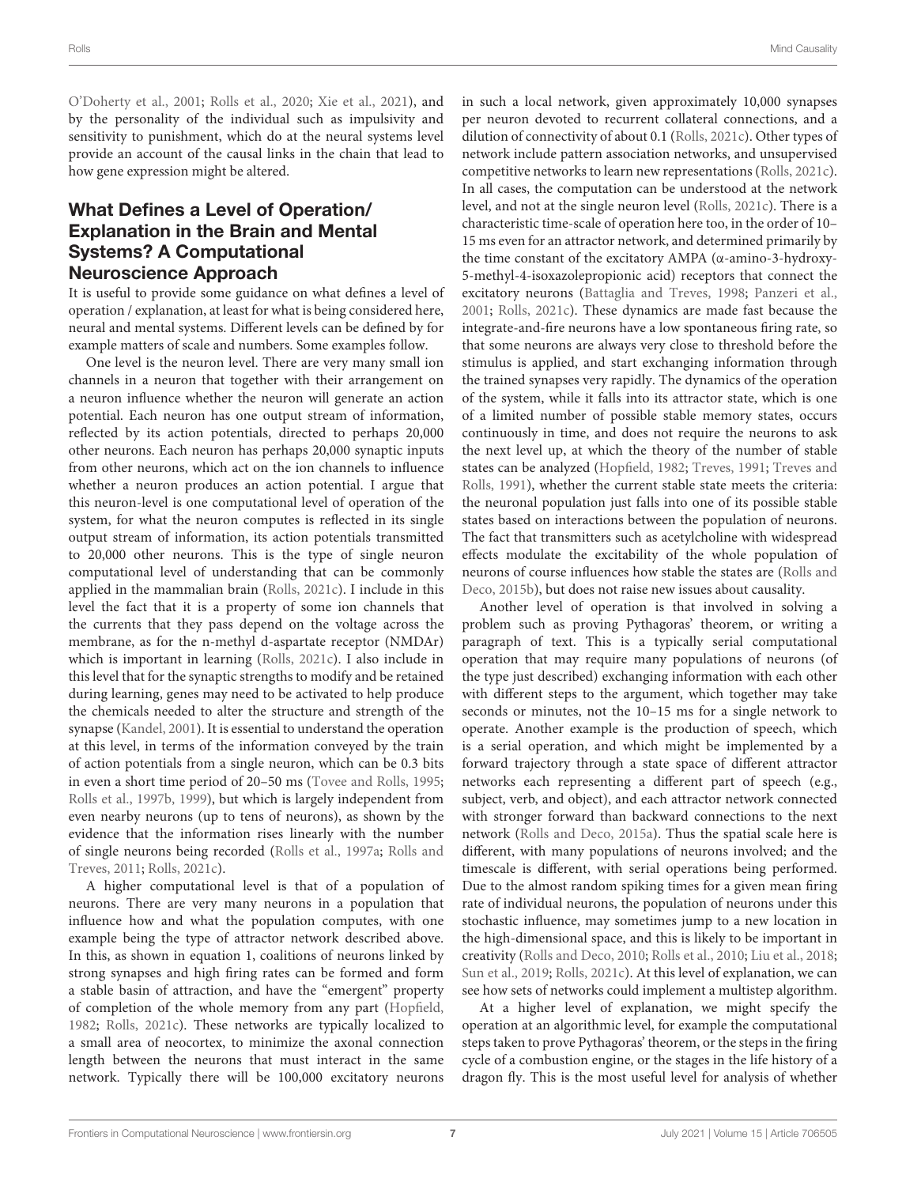[O'Doherty et al.,](#page-9-33) [2001;](#page-9-33) [Rolls et al.,](#page-9-30) [2020;](#page-9-30) [Xie et al.,](#page-10-2) [2021\)](#page-10-2), and by the personality of the individual such as impulsivity and sensitivity to punishment, which do at the neural systems level provide an account of the causal links in the chain that lead to how gene expression might be altered.

# What Defines a Level of Operation/ Explanation in the Brain and Mental Systems? A Computational Neuroscience Approach

It is useful to provide some guidance on what defines a level of operation / explanation, at least for what is being considered here, neural and mental systems. Different levels can be defined by for example matters of scale and numbers. Some examples follow.

One level is the neuron level. There are very many small ion channels in a neuron that together with their arrangement on a neuron influence whether the neuron will generate an action potential. Each neuron has one output stream of information, reflected by its action potentials, directed to perhaps 20,000 other neurons. Each neuron has perhaps 20,000 synaptic inputs from other neurons, which act on the ion channels to influence whether a neuron produces an action potential. I argue that this neuron-level is one computational level of operation of the system, for what the neuron computes is reflected in its single output stream of information, its action potentials transmitted to 20,000 other neurons. This is the type of single neuron computational level of understanding that can be commonly applied in the mammalian brain [\(Rolls,](#page-9-5) [2021c\)](#page-9-5). I include in this level the fact that it is a property of some ion channels that the currents that they pass depend on the voltage across the membrane, as for the n-methyl d-aspartate receptor (NMDAr) which is important in learning [\(Rolls,](#page-9-5) [2021c\)](#page-9-5). I also include in this level that for the synaptic strengths to modify and be retained during learning, genes may need to be activated to help produce the chemicals needed to alter the structure and strength of the synapse [\(Kandel,](#page-9-34) [2001\)](#page-9-34). It is essential to understand the operation at this level, in terms of the information conveyed by the train of action potentials from a single neuron, which can be 0.3 bits in even a short time period of 20–50 ms [\(Tovee and Rolls,](#page-9-35) [1995;](#page-9-35) [Rolls et al.,](#page-9-36) [1997b,](#page-9-36) [1999\)](#page-9-37), but which is largely independent from even nearby neurons (up to tens of neurons), as shown by the evidence that the information rises linearly with the number of single neurons being recorded [\(Rolls et al.,](#page-9-38) [1997a;](#page-9-38) [Rolls and](#page-9-39) [Treves,](#page-9-39) [2011;](#page-9-39) [Rolls,](#page-9-5) [2021c\)](#page-9-5).

A higher computational level is that of a population of neurons. There are very many neurons in a population that influence how and what the population computes, with one example being the type of attractor network described above. In this, as shown in equation 1, coalitions of neurons linked by strong synapses and high firing rates can be formed and form a stable basin of attraction, and have the "emergent" property of completion of the whole memory from any part [\(Hopfield,](#page-9-26) [1982;](#page-9-26) [Rolls,](#page-9-5) [2021c\)](#page-9-5). These networks are typically localized to a small area of neocortex, to minimize the axonal connection length between the neurons that must interact in the same network. Typically there will be 100,000 excitatory neurons

in such a local network, given approximately 10,000 synapses per neuron devoted to recurrent collateral connections, and a dilution of connectivity of about 0.1 [\(Rolls,](#page-9-5) [2021c\)](#page-9-5). Other types of network include pattern association networks, and unsupervised competitive networks to learn new representations [\(Rolls,](#page-9-5) [2021c\)](#page-9-5). In all cases, the computation can be understood at the network level, and not at the single neuron level [\(Rolls,](#page-9-5) [2021c\)](#page-9-5). There is a characteristic time-scale of operation here too, in the order of 10– 15 ms even for an attractor network, and determined primarily by the time constant of the excitatory AMPA (α-amino-3-hydroxy-5-methyl-4-isoxazolepropionic acid) receptors that connect the excitatory neurons [\(Battaglia and Treves,](#page-8-3) [1998;](#page-8-3) [Panzeri et al.,](#page-9-40) [2001;](#page-9-40) [Rolls,](#page-9-5) [2021c\)](#page-9-5). These dynamics are made fast because the integrate-and-fire neurons have a low spontaneous firing rate, so that some neurons are always very close to threshold before the stimulus is applied, and start exchanging information through the trained synapses very rapidly. The dynamics of the operation of the system, while it falls into its attractor state, which is one of a limited number of possible stable memory states, occurs continuously in time, and does not require the neurons to ask the next level up, at which the theory of the number of stable states can be analyzed [\(Hopfield,](#page-9-26) [1982;](#page-9-26) [Treves,](#page-9-27) [1991;](#page-9-27) [Treves and](#page-9-28) [Rolls,](#page-9-28) [1991\)](#page-9-28), whether the current stable state meets the criteria: the neuronal population just falls into one of its possible stable states based on interactions between the population of neurons. The fact that transmitters such as acetylcholine with widespread effects modulate the excitability of the whole population of neurons of course influences how stable the states are [\(Rolls and](#page-9-41) [Deco,](#page-9-41) [2015b\)](#page-9-41), but does not raise new issues about causality.

Another level of operation is that involved in solving a problem such as proving Pythagoras' theorem, or writing a paragraph of text. This is a typically serial computational operation that may require many populations of neurons (of the type just described) exchanging information with each other with different steps to the argument, which together may take seconds or minutes, not the 10–15 ms for a single network to operate. Another example is the production of speech, which is a serial operation, and which might be implemented by a forward trajectory through a state space of different attractor networks each representing a different part of speech (e.g., subject, verb, and object), and each attractor network connected with stronger forward than backward connections to the next network [\(Rolls and Deco,](#page-9-42) [2015a\)](#page-9-42). Thus the spatial scale here is different, with many populations of neurons involved; and the timescale is different, with serial operations being performed. Due to the almost random spiking times for a given mean firing rate of individual neurons, the population of neurons under this stochastic influence, may sometimes jump to a new location in the high-dimensional space, and this is likely to be important in creativity [\(Rolls and Deco,](#page-9-18) [2010;](#page-9-18) [Rolls et al.,](#page-9-43) [2010;](#page-9-43) [Liu et al.,](#page-9-44) [2018;](#page-9-44) [Sun et al.,](#page-9-45) [2019;](#page-9-45) [Rolls,](#page-9-5) [2021c\)](#page-9-5). At this level of explanation, we can see how sets of networks could implement a multistep algorithm.

At a higher level of explanation, we might specify the operation at an algorithmic level, for example the computational steps taken to prove Pythagoras' theorem, or the steps in the firing cycle of a combustion engine, or the stages in the life history of a dragon fly. This is the most useful level for analysis of whether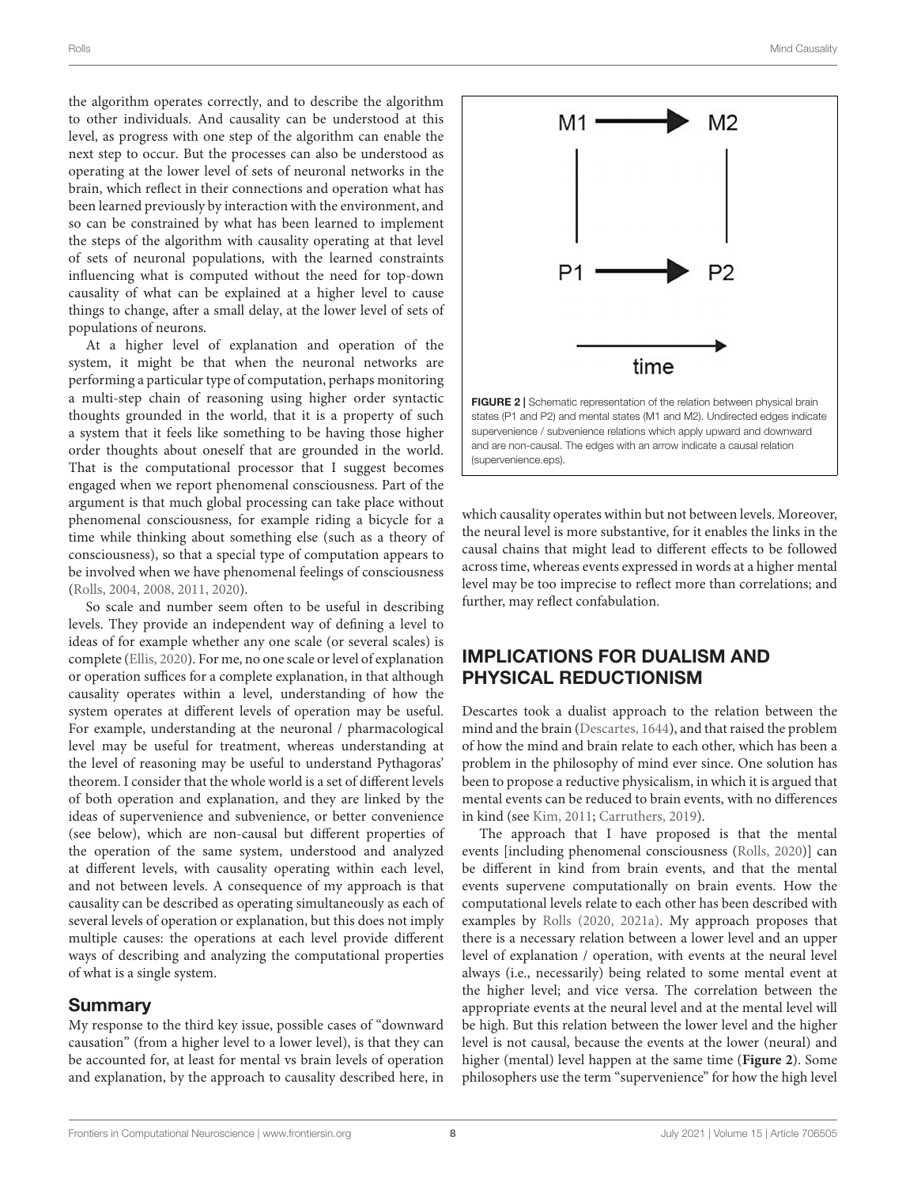the algorithm operates correctly, and to describe the algorithm to other individuals. And causality can be understood at this level, as progress with one step of the algorithm can enable the next step to occur. But the processes can also be understood as operating at the lower level of sets of neuronal networks in the brain, which reflect in their connections and operation what has been learned previously by interaction with the environment, and so can be constrained by what has been learned to implement the steps of the algorithm with causality operating at that level of sets of neuronal populations, with the learned constraints influencing what is computed without the need for top-down causality of what can be explained at a higher level to cause things to change, after a small delay, at the lower level of sets of populations of neurons.

At a higher level of explanation and operation of the system, it might be that when the neuronal networks are performing a particular type of computation, perhaps monitoring a multi-step chain of reasoning using higher order syntactic thoughts grounded in the world, that it is a property of such a system that it feels like something to be having those higher order thoughts about oneself that are grounded in the world. That is the computational processor that I suggest becomes engaged when we report phenomenal consciousness. Part of the argument is that much global processing can take place without phenomenal consciousness, for example riding a bicycle for a time while thinking about something else (such as a theory of consciousness), so that a special type of computation appears to be involved when we have phenomenal feelings of consciousness [\(Rolls,](#page-9-46) [2004,](#page-9-46) [2008,](#page-9-47) [2011,](#page-9-19) [2020\)](#page-9-4).

So scale and number seem often to be useful in describing levels. They provide an independent way of defining a level to ideas of for example whether any one scale (or several scales) is complete [\(Ellis,](#page-9-25) [2020\)](#page-9-25). For me, no one scale or level of explanation or operation suffices for a complete explanation, in that although causality operates within a level, understanding of how the system operates at different levels of operation may be useful. For example, understanding at the neuronal / pharmacological level may be useful for treatment, whereas understanding at the level of reasoning may be useful to understand Pythagoras' theorem. I consider that the whole world is a set of different levels of both operation and explanation, and they are linked by the ideas of supervenience and subvenience, or better convenience (see below), which are non-causal but different properties of the operation of the same system, understood and analyzed at different levels, with causality operating within each level, and not between levels. A consequence of my approach is that causality can be described as operating simultaneously as each of several levels of operation or explanation, but this does not imply multiple causes: the operations at each level provide different ways of describing and analyzing the computational properties of what is a single system.

# Summary

My response to the third key issue, possible cases of "downward causation" (from a higher level to a lower level), is that they can be accounted for, at least for mental vs brain levels of operation and explanation, by the approach to causality described here, in



<span id="page-7-0"></span>which causality operates within but not between levels. Moreover, the neural level is more substantive, for it enables the links in the causal chains that might lead to different effects to be followed across time, whereas events expressed in words at a higher mental level may be too imprecise to reflect more than correlations; and further, may reflect confabulation.

# IMPLICATIONS FOR DUALISM AND PHYSICAL REDUCTIONISM

Descartes took a dualist approach to the relation between the mind and the brain [\(Descartes,](#page-9-48) [1644\)](#page-9-48), and that raised the problem of how the mind and brain relate to each other, which has been a problem in the philosophy of mind ever since. One solution has been to propose a reductive physicalism, in which it is argued that mental events can be reduced to brain events, with no differences in kind (see [Kim,](#page-9-1) [2011;](#page-9-1) [Carruthers,](#page-8-4) [2019\)](#page-8-4).

The approach that I have proposed is that the mental events [including phenomenal consciousness [\(Rolls,](#page-9-4) [2020\)](#page-9-4)] can be different in kind from brain events, and that the mental events supervene computationally on brain events. How the computational levels relate to each other has been described with examples by [Rolls](#page-9-4) [\(2020,](#page-9-4) [2021a\)](#page-9-0). My approach proposes that there is a necessary relation between a lower level and an upper level of explanation / operation, with events at the neural level always (i.e., necessarily) being related to some mental event at the higher level; and vice versa. The correlation between the appropriate events at the neural level and at the mental level will be high. But this relation between the lower level and the higher level is not causal, because the events at the lower (neural) and higher (mental) level happen at the same time (**[Figure 2](#page-7-0)**). Some philosophers use the term "supervenience" for how the high level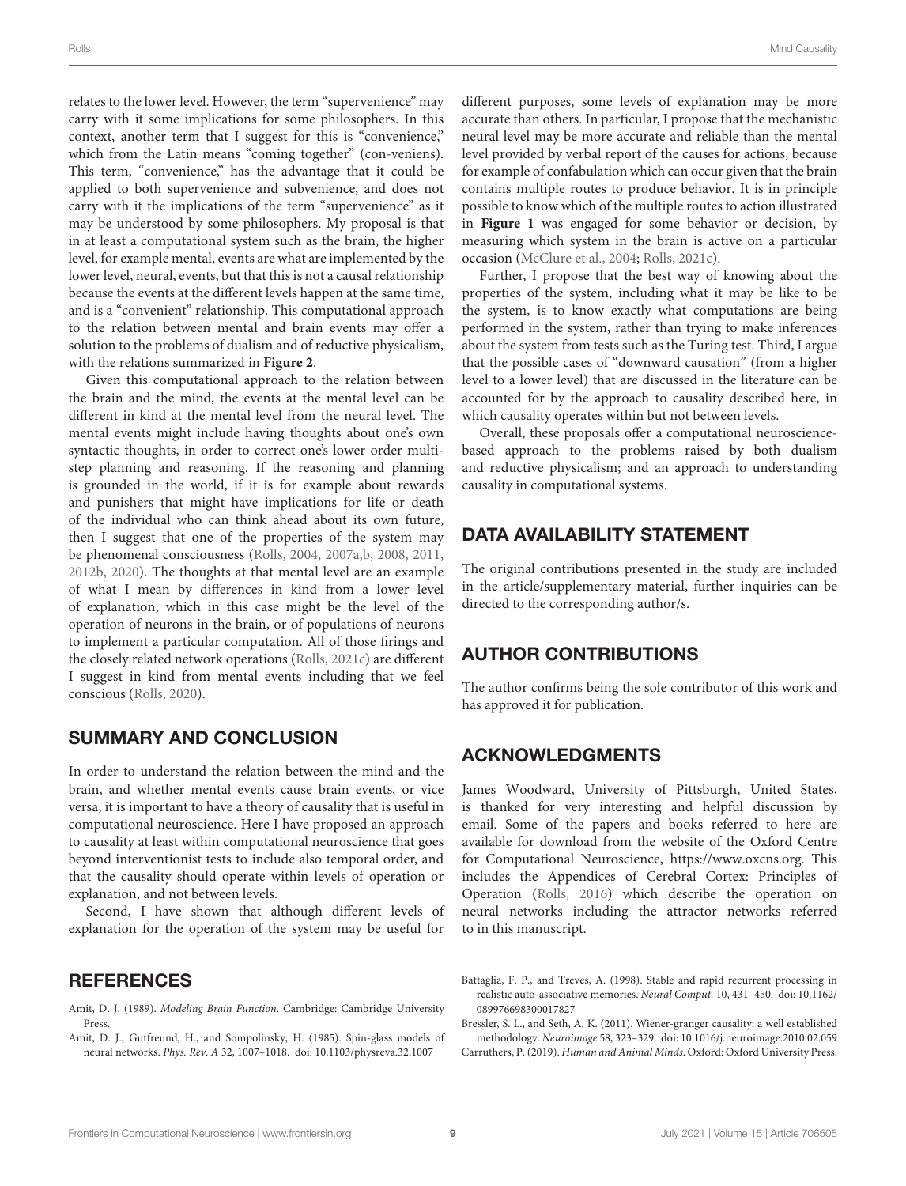relates to the lower level. However, the term "supervenience" may carry with it some implications for some philosophers. In this context, another term that I suggest for this is "convenience," which from the Latin means "coming together" (con-veniens). This term, "convenience," has the advantage that it could be applied to both supervenience and subvenience, and does not carry with it the implications of the term "supervenience" as it may be understood by some philosophers. My proposal is that in at least a computational system such as the brain, the higher level, for example mental, events are what are implemented by the lower level, neural, events, but that this is not a causal relationship because the events at the different levels happen at the same time, and is a "convenient" relationship. This computational approach to the relation between mental and brain events may offer a solution to the problems of dualism and of reductive physicalism, with the relations summarized in **[Figure 2](#page-7-0)**.

Given this computational approach to the relation between the brain and the mind, the events at the mental level can be different in kind at the mental level from the neural level. The mental events might include having thoughts about one's own syntactic thoughts, in order to correct one's lower order multistep planning and reasoning. If the reasoning and planning is grounded in the world, if it is for example about rewards and punishers that might have implications for life or death of the individual who can think ahead about its own future, then I suggest that one of the properties of the system may be phenomenal consciousness [\(Rolls,](#page-9-46) [2004,](#page-9-46) [2007a](#page-9-49)[,b,](#page-9-50) [2008,](#page-9-47) [2011,](#page-9-19) [2012b,](#page-9-12) [2020\)](#page-9-4). The thoughts at that mental level are an example of what I mean by differences in kind from a lower level of explanation, which in this case might be the level of the operation of neurons in the brain, or of populations of neurons to implement a particular computation. All of those firings and the closely related network operations [\(Rolls,](#page-9-5) [2021c\)](#page-9-5) are different I suggest in kind from mental events including that we feel conscious [\(Rolls,](#page-9-4) [2020\)](#page-9-4).

# SUMMARY AND CONCLUSION

In order to understand the relation between the mind and the brain, and whether mental events cause brain events, or vice versa, it is important to have a theory of causality that is useful in computational neuroscience. Here I have proposed an approach to causality at least within computational neuroscience that goes beyond interventionist tests to include also temporal order, and that the causality should operate within levels of operation or explanation, and not between levels.

Second, I have shown that although different levels of explanation for the operation of the system may be useful for

### **REFERENCES**

- <span id="page-8-2"></span>Amit, D. J. (1989). Modeling Brain Function. Cambridge: Cambridge University Press.
- <span id="page-8-1"></span>Amit, D. J., Gutfreund, H., and Sompolinsky, H. (1985). Spin-glass models of neural networks. Phys. Rev. A 32, 1007–1018. [doi: 10.1103/physreva.32.1007](https://doi.org/10.1103/physreva.32.1007)

different purposes, some levels of explanation may be more accurate than others. In particular, I propose that the mechanistic neural level may be more accurate and reliable than the mental level provided by verbal report of the causes for actions, because for example of confabulation which can occur given that the brain contains multiple routes to produce behavior. It is in principle possible to know which of the multiple routes to action illustrated in **[Figure 1](#page-4-0)** was engaged for some behavior or decision, by measuring which system in the brain is active on a particular occasion [\(McClure et al.,](#page-9-51) [2004;](#page-9-51) [Rolls,](#page-9-5) [2021c\)](#page-9-5).

Further, I propose that the best way of knowing about the properties of the system, including what it may be like to be the system, is to know exactly what computations are being performed in the system, rather than trying to make inferences about the system from tests such as the Turing test. Third, I argue that the possible cases of "downward causation" (from a higher level to a lower level) that are discussed in the literature can be accounted for by the approach to causality described here, in which causality operates within but not between levels.

Overall, these proposals offer a computational neurosciencebased approach to the problems raised by both dualism and reductive physicalism; and an approach to understanding causality in computational systems.

# DATA AVAILABILITY STATEMENT

The original contributions presented in the study are included in the article/supplementary material, further inquiries can be directed to the corresponding author/s.

### AUTHOR CONTRIBUTIONS

The author confirms being the sole contributor of this work and has approved it for publication.

### ACKNOWLEDGMENTS

James Woodward, University of Pittsburgh, United States, is thanked for very interesting and helpful discussion by email. Some of the papers and books referred to here are available for download from the website of the Oxford Centre for Computational Neuroscience, [https://www.oxcns.org.](https://www.oxcns.org) This includes the Appendices of Cerebral Cortex: Principles of Operation [\(Rolls,](#page-9-3) [2016\)](#page-9-3) which describe the operation on neural networks including the attractor networks referred to in this manuscript.

<span id="page-8-3"></span>Battaglia, F. P., and Treves, A. (1998). Stable and rapid recurrent processing in realistic auto-associative memories. Neural Comput. 10, 431–450. [doi: 10.1162/](https://doi.org/10.1162/089976698300017827) [089976698300017827](https://doi.org/10.1162/089976698300017827)

<span id="page-8-0"></span>Bressler, S. L., and Seth, A. K. (2011). Wiener-granger causality: a well established methodology. Neuroimage 58, 323–329. [doi: 10.1016/j.neuroimage.2010.02.059](https://doi.org/10.1016/j.neuroimage.2010.02.059)

<span id="page-8-4"></span>Carruthers, P. (2019). Human and Animal Minds. Oxford: Oxford University Press.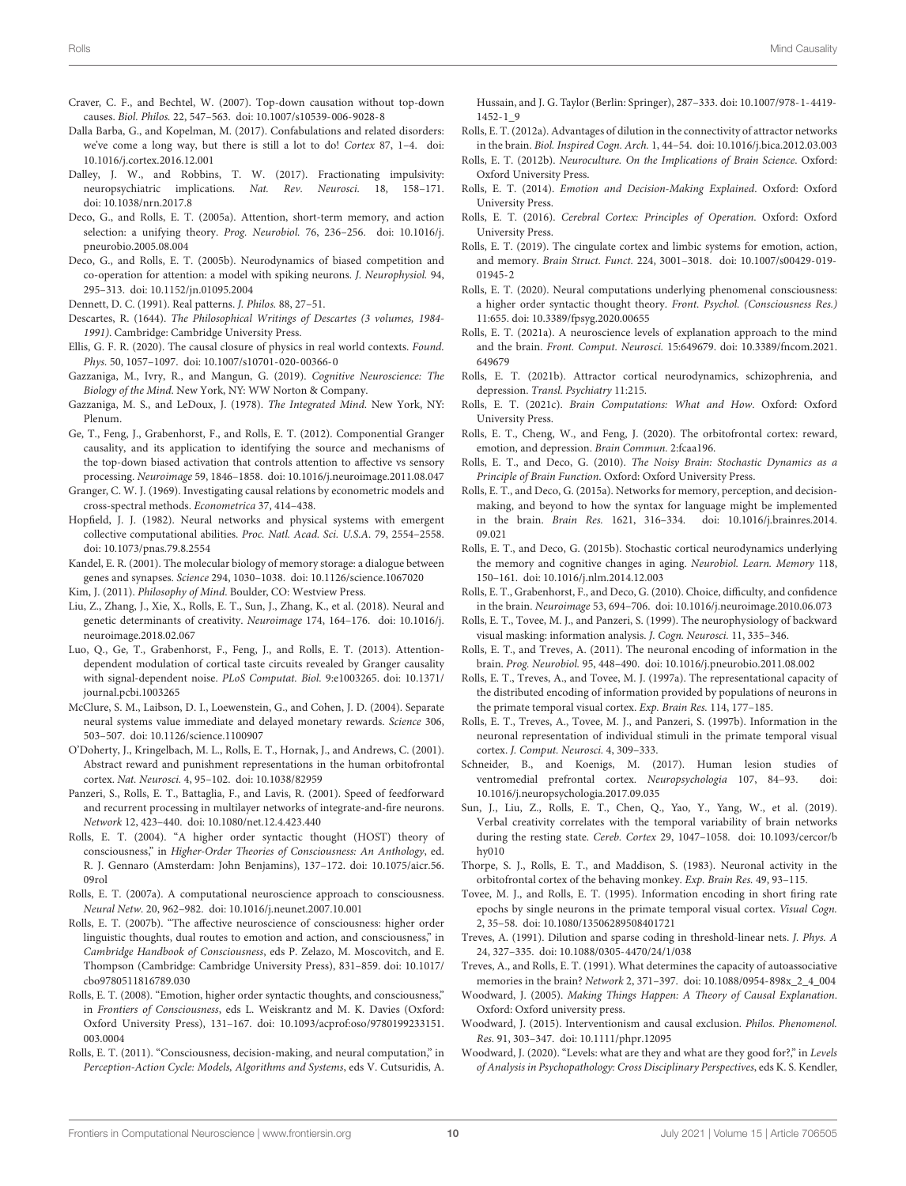- <span id="page-9-9"></span>Craver, C. F., and Bechtel, W. (2007). Top-down causation without top-down causes. Biol. Philos. 22, 547–563. [doi: 10.1007/s10539-006-9028-8](https://doi.org/10.1007/s10539-006-9028-8)
- <span id="page-9-17"></span>Dalla Barba, G., and Kopelman, M. (2017). Confabulations and related disorders: we've come a long way, but there is still a lot to do! Cortex 87, 1–4. [doi:](https://doi.org/10.1016/j.cortex.2016.12.001) [10.1016/j.cortex.2016.12.001](https://doi.org/10.1016/j.cortex.2016.12.001)
- <span id="page-9-31"></span>Dalley, J. W., and Robbins, T. W. (2017). Fractionating impulsivity: neuropsychiatric implications. Nat. Rev. Neurosci. 18, 158–171. [doi: 10.1038/nrn.2017.8](https://doi.org/10.1038/nrn.2017.8)
- <span id="page-9-22"></span>Deco, G., and Rolls, E. T. (2005a). Attention, short-term memory, and action selection: a unifying theory. Prog. Neurobiol. 76, 236–256. [doi: 10.1016/j.](https://doi.org/10.1016/j.pneurobio.2005.08.004) [pneurobio.2005.08.004](https://doi.org/10.1016/j.pneurobio.2005.08.004)
- <span id="page-9-23"></span>Deco, G., and Rolls, E. T. (2005b). Neurodynamics of biased competition and co-operation for attention: a model with spiking neurons. J. Neurophysiol. 94, 295–313. [doi: 10.1152/jn.01095.2004](https://doi.org/10.1152/jn.01095.2004)
- <span id="page-9-2"></span>Dennett, D. C. (1991). Real patterns. J. Philos. 88, 27–51.
- <span id="page-9-48"></span>Descartes, R. (1644). The Philosophical Writings of Descartes (3 volumes, 1984- 1991). Cambridge: Cambridge University Press.
- <span id="page-9-25"></span>Ellis, G. F. R. (2020). The causal closure of physics in real world contexts. Found. Phys. 50, 1057–1097. [doi: 10.1007/s10701-020-00366-0](https://doi.org/10.1007/s10701-020-00366-0)
- <span id="page-9-14"></span>Gazzaniga, M., Ivry, R., and Mangun, G. (2019). Cognitive Neuroscience: The Biology of the Mind. New York, NY: WW Norton & Company.
- <span id="page-9-13"></span>Gazzaniga, M. S., and LeDoux, J. (1978). The Integrated Mind. New York, NY: Plenum.
- <span id="page-9-11"></span>Ge, T., Feng, J., Grabenhorst, F., and Rolls, E. T. (2012). Componential Granger causality, and its application to identifying the source and mechanisms of the top-down biased activation that controls attention to affective vs sensory processing. Neuroimage 59, 1846–1858. [doi: 10.1016/j.neuroimage.2011.08.047](https://doi.org/10.1016/j.neuroimage.2011.08.047)
- <span id="page-9-10"></span>Granger, C. W. J. (1969). Investigating causal relations by econometric models and cross-spectral methods. Econometrica 37, 414–438.
- <span id="page-9-26"></span>Hopfield, J. J. (1982). Neural networks and physical systems with emergent collective computational abilities. Proc. Natl. Acad. Sci. U.S.A. 79, 2554–2558. [doi: 10.1073/pnas.79.8.2554](https://doi.org/10.1073/pnas.79.8.2554)
- <span id="page-9-34"></span>Kandel, E. R. (2001). The molecular biology of memory storage: a dialogue between genes and synapses. Science 294, 1030–1038. [doi: 10.1126/science.1067020](https://doi.org/10.1126/science.1067020)
- <span id="page-9-1"></span>Kim, J. (2011). Philosophy of Mind. Boulder, CO: Westview Press.
- <span id="page-9-44"></span>Liu, Z., Zhang, J., Xie, X., Rolls, E. T., Sun, J., Zhang, K., et al. (2018). Neural and genetic determinants of creativity. Neuroimage 174, 164–176. [doi: 10.1016/j.](https://doi.org/10.1016/j.neuroimage.2018.02.067) [neuroimage.2018.02.067](https://doi.org/10.1016/j.neuroimage.2018.02.067)
- <span id="page-9-24"></span>Luo, Q., Ge, T., Grabenhorst, F., Feng, J., and Rolls, E. T. (2013). Attentiondependent modulation of cortical taste circuits revealed by Granger causality with signal-dependent noise. PLoS Computat. Biol. 9:e1003265. [doi: 10.1371/](https://doi.org/10.1371/journal.pcbi.1003265) [journal.pcbi.1003265](https://doi.org/10.1371/journal.pcbi.1003265)
- <span id="page-9-51"></span>McClure, S. M., Laibson, D. I., Loewenstein, G., and Cohen, J. D. (2004). Separate neural systems value immediate and delayed monetary rewards. Science 306, 503–507. [doi: 10.1126/science.1100907](https://doi.org/10.1126/science.1100907)
- <span id="page-9-33"></span>O'Doherty, J., Kringelbach, M. L., Rolls, E. T., Hornak, J., and Andrews, C. (2001). Abstract reward and punishment representations in the human orbitofrontal cortex. Nat. Neurosci. 4, 95–102. [doi: 10.1038/82959](https://doi.org/10.1038/82959)
- <span id="page-9-40"></span>Panzeri, S., Rolls, E. T., Battaglia, F., and Lavis, R. (2001). Speed of feedforward and recurrent processing in multilayer networks of integrate-and-fire neurons. Network 12, 423–440. [doi: 10.1080/net.12.4.423.440](https://doi.org/10.1080/net.12.4.423.440)
- <span id="page-9-46"></span>Rolls, E. T. (2004). "A higher order syntactic thought (HOST) theory of consciousness," in Higher-Order Theories of Consciousness: An Anthology, ed. R. J. Gennaro (Amsterdam: John Benjamins), 137–172. [doi: 10.1075/aicr.56.](https://doi.org/10.1075/aicr.56.09rol) [09rol](https://doi.org/10.1075/aicr.56.09rol)
- <span id="page-9-49"></span>Rolls, E. T. (2007a). A computational neuroscience approach to consciousness. Neural Netw. 20, 962–982. [doi: 10.1016/j.neunet.2007.10.001](https://doi.org/10.1016/j.neunet.2007.10.001)
- <span id="page-9-50"></span>Rolls, E. T. (2007b). "The affective neuroscience of consciousness: higher order linguistic thoughts, dual routes to emotion and action, and consciousness," in Cambridge Handbook of Consciousness, eds P. Zelazo, M. Moscovitch, and E. Thompson (Cambridge: Cambridge University Press), 831–859. [doi: 10.1017/](https://doi.org/10.1017/cbo9780511816789.030) [cbo9780511816789.030](https://doi.org/10.1017/cbo9780511816789.030)
- <span id="page-9-47"></span>Rolls, E. T. (2008). "Emotion, higher order syntactic thoughts, and consciousness," in Frontiers of Consciousness, eds L. Weiskrantz and M. K. Davies (Oxford: Oxford University Press), 131–167. [doi: 10.1093/acprof:oso/9780199233151.](https://doi.org/10.1093/acprof:oso/9780199233151.003.0004) [003.0004](https://doi.org/10.1093/acprof:oso/9780199233151.003.0004)
- <span id="page-9-19"></span>Rolls, E. T. (2011). "Consciousness, decision-making, and neural computation," in Perception-Action Cycle: Models, Algorithms and Systems, eds V. Cutsuridis, A.

Hussain, and J. G. Taylor (Berlin: Springer), 287–333. [doi: 10.1007/978-1-4419-](https://doi.org/10.1007/978-1-4419-1452-1_9) [1452-1\\_9](https://doi.org/10.1007/978-1-4419-1452-1_9)

- <span id="page-9-29"></span>Rolls, E. T. (2012a). Advantages of dilution in the connectivity of attractor networks in the brain. Biol. Inspired Cogn. Arch. 1, 44–54. [doi: 10.1016/j.bica.2012.03.003](https://doi.org/10.1016/j.bica.2012.03.003)
- <span id="page-9-12"></span>Rolls, E. T. (2012b). Neuroculture. On the Implications of Brain Science. Oxford: Oxford University Press.
- <span id="page-9-15"></span>Rolls, E. T. (2014). Emotion and Decision-Making Explained. Oxford: Oxford University Press.
- <span id="page-9-3"></span>Rolls, E. T. (2016). Cerebral Cortex: Principles of Operation. Oxford: Oxford University Press.
- <span id="page-9-21"></span>Rolls, E. T. (2019). The cingulate cortex and limbic systems for emotion, action, and memory. Brain Struct. Funct. 224, 3001–3018. [doi: 10.1007/s00429-019-](https://doi.org/10.1007/s00429-019-01945-2) [01945-2](https://doi.org/10.1007/s00429-019-01945-2)
- <span id="page-9-4"></span>Rolls, E. T. (2020). Neural computations underlying phenomenal consciousness: a higher order syntactic thought theory. Front. Psychol. (Consciousness Res.) 11:655. [doi: 10.3389/fpsyg.2020.00655](https://doi.org/10.3389/fpsyg.2020.00655)
- <span id="page-9-0"></span>Rolls, E. T. (2021a). A neuroscience levels of explanation approach to the mind and the brain. Front. Comput. Neurosci. 15:649679. [doi: 10.3389/fncom.2021.](https://doi.org/10.3389/fncom.2021.649679) [649679](https://doi.org/10.3389/fncom.2021.649679)
- <span id="page-9-20"></span>Rolls, E. T. (2021b). Attractor cortical neurodynamics, schizophrenia, and depression. Transl. Psychiatry 11:215.
- <span id="page-9-5"></span>Rolls, E. T. (2021c). Brain Computations: What and How. Oxford: Oxford University Press.
- <span id="page-9-30"></span>Rolls, E. T., Cheng, W., and Feng, J. (2020). The orbitofrontal cortex: reward, emotion, and depression. Brain Commun. 2:fcaa196.
- <span id="page-9-18"></span>Rolls, E. T., and Deco, G. (2010). The Noisy Brain: Stochastic Dynamics as a Principle of Brain Function. Oxford: Oxford University Press.
- <span id="page-9-42"></span>Rolls, E. T., and Deco, G. (2015a). Networks for memory, perception, and decisionmaking, and beyond to how the syntax for language might be implemented in the brain. Brain Res. 1621, 316–334. [doi: 10.1016/j.brainres.2014.](https://doi.org/10.1016/j.brainres.2014.09.021) [09.021](https://doi.org/10.1016/j.brainres.2014.09.021)
- <span id="page-9-41"></span>Rolls, E. T., and Deco, G. (2015b). Stochastic cortical neurodynamics underlying the memory and cognitive changes in aging. Neurobiol. Learn. Memory 118, 150–161. [doi: 10.1016/j.nlm.2014.12.003](https://doi.org/10.1016/j.nlm.2014.12.003)
- <span id="page-9-43"></span>Rolls, E. T., Grabenhorst, F., and Deco, G. (2010). Choice, difficulty, and confidence in the brain. Neuroimage 53, 694–706. [doi: 10.1016/j.neuroimage.2010.06.073](https://doi.org/10.1016/j.neuroimage.2010.06.073)
- <span id="page-9-37"></span>Rolls, E. T., Tovee, M. J., and Panzeri, S. (1999). The neurophysiology of backward visual masking: information analysis. J. Cogn. Neurosci. 11, 335–346.
- <span id="page-9-39"></span>Rolls, E. T., and Treves, A. (2011). The neuronal encoding of information in the brain. Prog. Neurobiol. 95, 448–490. [doi: 10.1016/j.pneurobio.2011.08.002](https://doi.org/10.1016/j.pneurobio.2011.08.002)
- <span id="page-9-38"></span>Rolls, E. T., Treves, A., and Tovee, M. J. (1997a). The representational capacity of the distributed encoding of information provided by populations of neurons in the primate temporal visual cortex. Exp. Brain Res. 114, 177–185.
- <span id="page-9-36"></span>Rolls, E. T., Treves, A., Tovee, M. J., and Panzeri, S. (1997b). Information in the neuronal representation of individual stimuli in the primate temporal visual cortex. J. Comput. Neurosci. 4, 309–333.
- <span id="page-9-16"></span>Schneider, B., and Koenigs, M. (2017). Human lesion studies of ventromedial prefrontal cortex. Neuropsychologia 107, 84–93. [doi:](https://doi.org/10.1016/j.neuropsychologia.2017.09.035) [10.1016/j.neuropsychologia.2017.09.035](https://doi.org/10.1016/j.neuropsychologia.2017.09.035)
- <span id="page-9-45"></span>Sun, J., Liu, Z., Rolls, E. T., Chen, Q., Yao, Y., Yang, W., et al. (2019). Verbal creativity correlates with the temporal variability of brain networks during the resting state. Cereb. Cortex 29, 1047–1058. [doi: 10.1093/cercor/b](https://doi.org/10.1093/cercor/bhy010) [hy010](https://doi.org/10.1093/cercor/bhy010)
- <span id="page-9-32"></span>Thorpe, S. J., Rolls, E. T., and Maddison, S. (1983). Neuronal activity in the orbitofrontal cortex of the behaving monkey. Exp. Brain Res. 49, 93–115.
- <span id="page-9-35"></span>Tovee, M. J., and Rolls, E. T. (1995). Information encoding in short firing rate epochs by single neurons in the primate temporal visual cortex. Visual Cogn. 2, 35–58. [doi: 10.1080/13506289508401721](https://doi.org/10.1080/13506289508401721)
- <span id="page-9-27"></span>Treves, A. (1991). Dilution and sparse coding in threshold-linear nets. J. Phys. A 24, 327–335. [doi: 10.1088/0305-4470/24/1/038](https://doi.org/10.1088/0305-4470/24/1/038)
- <span id="page-9-28"></span>Treves, A., and Rolls, E. T. (1991). What determines the capacity of autoassociative memories in the brain? Network 2, 371–397. [doi: 10.1088/0954-898x\\_2\\_4\\_004](https://doi.org/10.1088/0954-898x_2_4_004)
- <span id="page-9-6"></span>Woodward, J. (2005). Making Things Happen: A Theory of Causal Explanation. Oxford: Oxford university press.
- <span id="page-9-7"></span>Woodward, J. (2015). Interventionism and causal exclusion. Philos. Phenomenol. Res. 91, 303–347. [doi: 10.1111/phpr.12095](https://doi.org/10.1111/phpr.12095)
- <span id="page-9-8"></span>Woodward, J. (2020). "Levels: what are they and what are they good for?," in Levels of Analysis in Psychopathology: Cross Disciplinary Perspectives, eds K. S. Kendler,